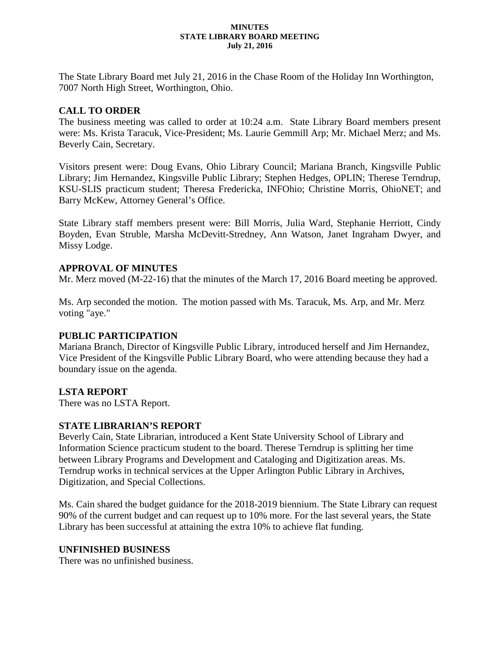#### **MINUTES STATE LIBRARY BOARD MEETING July 21, 2016**

The State Library Board met July 21, 2016 in the Chase Room of the Holiday Inn Worthington, 7007 North High Street, Worthington, Ohio.

## **CALL TO ORDER**

The business meeting was called to order at 10:24 a.m. State Library Board members present were: Ms. Krista Taracuk, Vice-President; Ms. Laurie Gemmill Arp; Mr. Michael Merz; and Ms. Beverly Cain, Secretary.

Visitors present were: Doug Evans, Ohio Library Council; Mariana Branch, Kingsville Public Library; Jim Hernandez, Kingsville Public Library; Stephen Hedges, OPLIN; Therese Terndrup, KSU-SLIS practicum student; Theresa Fredericka, INFOhio; Christine Morris, OhioNET; and Barry McKew, Attorney General's Office.

State Library staff members present were: Bill Morris, Julia Ward, Stephanie Herriott, Cindy Boyden, Evan Struble, Marsha McDevitt-Stredney, Ann Watson, Janet Ingraham Dwyer, and Missy Lodge.

### **APPROVAL OF MINUTES**

Mr. Merz moved (M-22-16) that the minutes of the March 17, 2016 Board meeting be approved.

Ms. Arp seconded the motion. The motion passed with Ms. Taracuk, Ms. Arp, and Mr. Merz voting "aye."

### **PUBLIC PARTICIPATION**

Mariana Branch, Director of Kingsville Public Library, introduced herself and Jim Hernandez, Vice President of the Kingsville Public Library Board, who were attending because they had a boundary issue on the agenda.

### **LSTA REPORT**

There was no LSTA Report.

### **STATE LIBRARIAN'S REPORT**

Beverly Cain, State Librarian, introduced a Kent State University School of Library and Information Science practicum student to the board. Therese Terndrup is splitting her time between Library Programs and Development and Cataloging and Digitization areas. Ms. Terndrup works in technical services at the Upper Arlington Public Library in Archives, Digitization, and Special Collections.

Ms. Cain shared the budget guidance for the 2018-2019 biennium. The State Library can request 90% of the current budget and can request up to 10% more. For the last several years, the State Library has been successful at attaining the extra 10% to achieve flat funding.

### **UNFINISHED BUSINESS**

There was no unfinished business.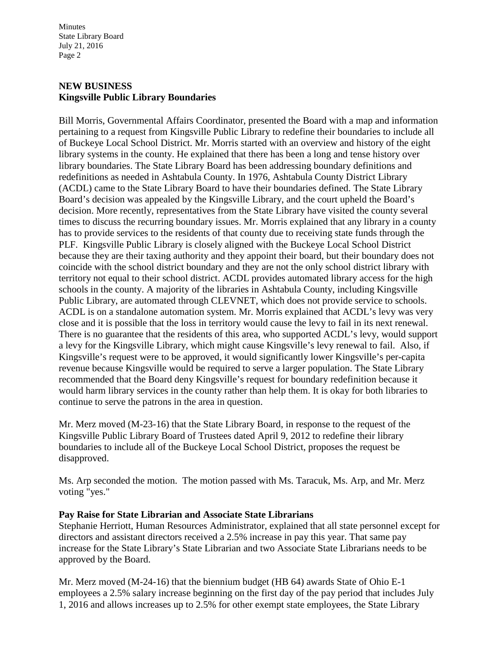Minutes State Library Board July 21, 2016 Page 2

# **NEW BUSINESS Kingsville Public Library Boundaries**

Bill Morris, Governmental Affairs Coordinator, presented the Board with a map and information pertaining to a request from Kingsville Public Library to redefine their boundaries to include all of Buckeye Local School District. Mr. Morris started with an overview and history of the eight library systems in the county. He explained that there has been a long and tense history over library boundaries. The State Library Board has been addressing boundary definitions and redefinitions as needed in Ashtabula County. In 1976, Ashtabula County District Library (ACDL) came to the State Library Board to have their boundaries defined. The State Library Board's decision was appealed by the Kingsville Library, and the court upheld the Board's decision. More recently, representatives from the State Library have visited the county several times to discuss the recurring boundary issues. Mr. Morris explained that any library in a county has to provide services to the residents of that county due to receiving state funds through the PLF. Kingsville Public Library is closely aligned with the Buckeye Local School District because they are their taxing authority and they appoint their board, but their boundary does not coincide with the school district boundary and they are not the only school district library with territory not equal to their school district. ACDL provides automated library access for the high schools in the county. A majority of the libraries in Ashtabula County, including Kingsville Public Library, are automated through CLEVNET, which does not provide service to schools. ACDL is on a standalone automation system. Mr. Morris explained that ACDL's levy was very close and it is possible that the loss in territory would cause the levy to fail in its next renewal. There is no guarantee that the residents of this area, who supported ACDL's levy, would support a levy for the Kingsville Library, which might cause Kingsville's levy renewal to fail. Also, if Kingsville's request were to be approved, it would significantly lower Kingsville's per-capita revenue because Kingsville would be required to serve a larger population. The State Library recommended that the Board deny Kingsville's request for boundary redefinition because it would harm library services in the county rather than help them. It is okay for both libraries to continue to serve the patrons in the area in question.

Mr. Merz moved (M-23-16) that the State Library Board, in response to the request of the Kingsville Public Library Board of Trustees dated April 9, 2012 to redefine their library boundaries to include all of the Buckeye Local School District, proposes the request be disapproved.

Ms. Arp seconded the motion. The motion passed with Ms. Taracuk, Ms. Arp, and Mr. Merz voting "yes."

### **Pay Raise for State Librarian and Associate State Librarians**

Stephanie Herriott, Human Resources Administrator, explained that all state personnel except for directors and assistant directors received a 2.5% increase in pay this year. That same pay increase for the State Library's State Librarian and two Associate State Librarians needs to be approved by the Board.

Mr. Merz moved (M-24-16) that the biennium budget (HB 64) awards State of Ohio E-1 employees a 2.5% salary increase beginning on the first day of the pay period that includes July 1, 2016 and allows increases up to 2.5% for other exempt state employees, the State Library